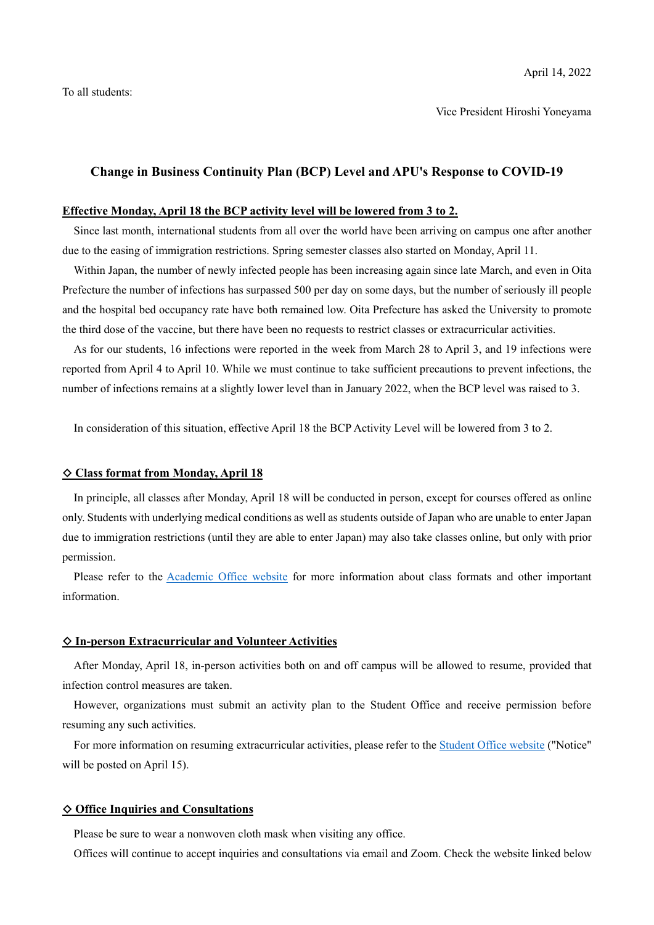Vice President Hiroshi Yoneyama

## **Change in Business Continuity Plan (BCP) Level and APU's Response to COVID-19**

# **Effective Monday, April 18 the BCP activity level will be lowered from 3 to 2.**

Since last month, international students from all over the world have been arriving on campus one after another due to the easing of immigration restrictions. Spring semester classes also started on Monday, April 11.

Within Japan, the number of newly infected people has been increasing again since late March, and even in Oita Prefecture the number of infections has surpassed 500 per day on some days, but the number of seriously ill people and the hospital bed occupancy rate have both remained low. Oita Prefecture has asked the University to promote the third dose of the vaccine, but there have been no requests to restrict classes or extracurricular activities.

As for our students, 16 infections were reported in the week from March 28 to April 3, and 19 infections were reported from April 4 to April 10. While we must continue to take sufficient precautions to prevent infections, the number of infections remains at a slightly lower level than in January 2022, when the BCP level was raised to 3.

In consideration of this situation, effective April 18 the BCP Activity Level will be lowered from 3 to 2.

## ◇ **Class format from Monday, April 18**

In principle, all classes after Monday, April 18 will be conducted in person, except for courses offered as online only. Students with underlying medical conditions as well as students outside of Japan who are unable to enter Japan due to immigration restrictions (until they are able to enter Japan) may also take classes online, but only with prior permission.

Please refer to the Academic Office website for more information about class formats and other important information.

#### ◇ **In-person Extracurricular and Volunteer Activities**

After Monday, April 18, in-person activities both on and off campus will be allowed to resume, provided that infection control measures are taken.

However, organizations must submit an activity plan to the Student Office and receive permission before resuming any such activities.

For more information on resuming extracurricular activities, please refer to the Student Office website ("Notice" will be posted on April 15).

#### ◇ **Office Inquiries and Consultations**

Please be sure to wear a nonwoven cloth mask when visiting any office.

Offices will continue to accept inquiries and consultations via email and Zoom. Check the website linked below